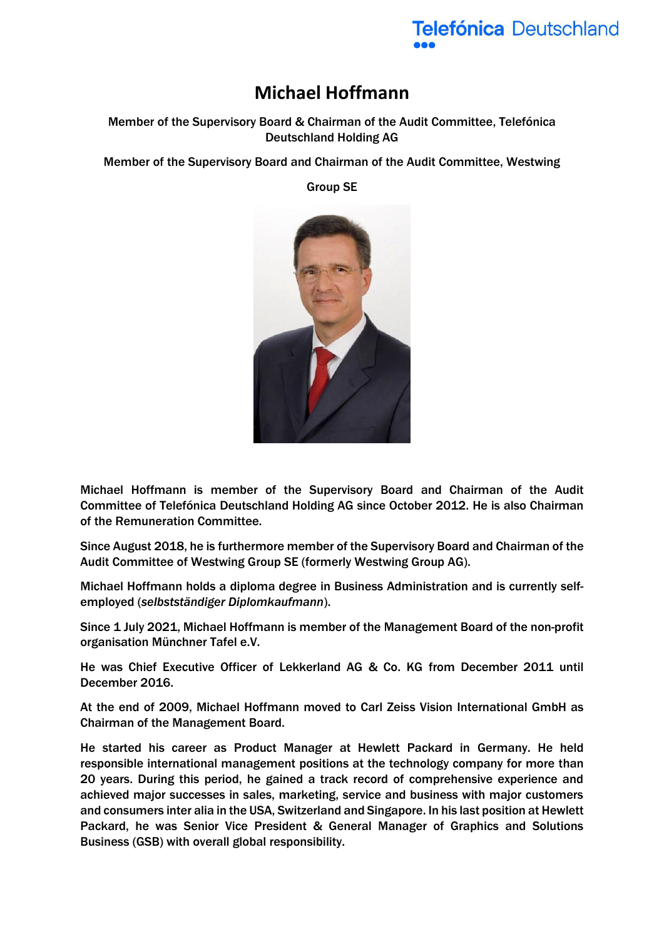

## **Michael Hoffmann**

Member of the Supervisory Board & Chairman of the Audit Committee, Telefónica Deutschland Holding AG

Member of the Supervisory Board and Chairman of the Audit Committee, Westwing

Group SE



Michael Hoffmann is member of the Supervisory Board and Chairman of the Audit Committee of Telefónica Deutschland Holding AG since October 2012. He is also Chairman of the Remuneration Committee.

Since August 2018, he is furthermore member of the Supervisory Board and Chairman of the Audit Committee of Westwing Group SE (formerly Westwing Group AG).

Michael Hoffmann holds a diploma degree in Business Administration and is currently selfemployed (*selbstständiger Diplomkaufmann*).

Since 1 July 2021, Michael Hoffmann is member of the Management Board of the non-profit organisation Münchner Tafel e.V.

He was Chief Executive Officer of Lekkerland AG & Co. KG from December 2011 until December 2016.

At the end of 2009, Michael Hoffmann moved to Carl Zeiss Vision International GmbH as Chairman of the Management Board.

He started his career as Product Manager at Hewlett Packard in Germany. He held responsible international management positions at the technology company for more than 20 years. During this period, he gained a track record of comprehensive experience and achieved major successes in sales, marketing, service and business with major customers and consumers inter alia in the USA, Switzerland and Singapore. In his last position at Hewlett Packard, he was Senior Vice President & General Manager of Graphics and Solutions Business (GSB) with overall global responsibility.